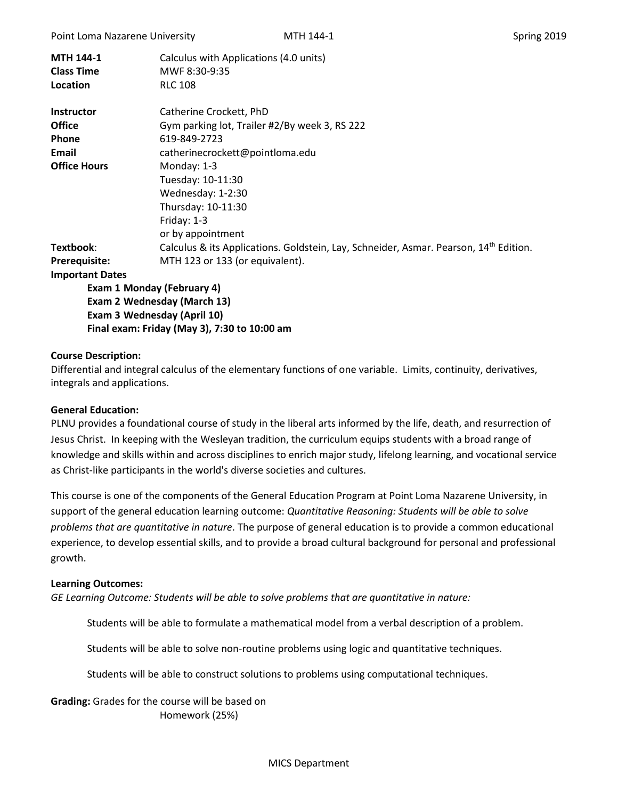| <b>MTH 144-1</b><br><b>Class Time</b><br>Location | Calculus with Applications (4.0 units)<br>MWF 8:30-9:35<br><b>RLC 108</b>                         |  |  |  |  |
|---------------------------------------------------|---------------------------------------------------------------------------------------------------|--|--|--|--|
| <b>Instructor</b>                                 | Catherine Crockett, PhD                                                                           |  |  |  |  |
| <b>Office</b>                                     | Gym parking lot, Trailer #2/By week 3, RS 222                                                     |  |  |  |  |
| <b>Phone</b>                                      | 619-849-2723                                                                                      |  |  |  |  |
| Email<br>catherinecrockett@pointloma.edu          |                                                                                                   |  |  |  |  |
| <b>Office Hours</b>                               | Monday: 1-3                                                                                       |  |  |  |  |
|                                                   | Tuesday: 10-11:30                                                                                 |  |  |  |  |
|                                                   | Wednesday: 1-2:30                                                                                 |  |  |  |  |
|                                                   | Thursday: 10-11:30                                                                                |  |  |  |  |
|                                                   | Friday: $1-3$                                                                                     |  |  |  |  |
|                                                   | or by appointment                                                                                 |  |  |  |  |
| Textbook:                                         | Calculus & its Applications. Goldstein, Lay, Schneider, Asmar. Pearson, 14 <sup>th</sup> Edition. |  |  |  |  |
| <b>Prerequisite:</b>                              | MTH 123 or 133 (or equivalent).                                                                   |  |  |  |  |
| <b>Important Dates</b>                            |                                                                                                   |  |  |  |  |
| Exam 1 Monday (February 4)                        |                                                                                                   |  |  |  |  |
| Exam 2 Wednesday (March 13)                       |                                                                                                   |  |  |  |  |
| Exam 3 Wednesday (April 10)                       |                                                                                                   |  |  |  |  |
| Final exam: Friday (May 3), 7:30 to 10:00 am      |                                                                                                   |  |  |  |  |

### **Course Description:**

Differential and integral calculus of the elementary functions of one variable. Limits, continuity, derivatives, integrals and applications.

#### **General Education:**

PLNU provides a foundational course of study in the liberal arts informed by the life, death, and resurrection of Jesus Christ. In keeping with the Wesleyan tradition, the curriculum equips students with a broad range of knowledge and skills within and across disciplines to enrich major study, lifelong learning, and vocational service as Christ-like participants in the world's diverse societies and cultures.

This course is one of the components of the General Education Program at Point Loma Nazarene University, in support of the general education learning outcome: *Quantitative Reasoning: Students will be able to solve problems that are quantitative in nature*. The purpose of general education is to provide a common educational experience, to develop essential skills, and to provide a broad cultural background for personal and professional growth.

#### **Learning Outcomes:**

*GE Learning Outcome: Students will be able to solve problems that are quantitative in nature:*

Students will be able to formulate a mathematical model from a verbal description of a problem.

Students will be able to solve non-routine problems using logic and quantitative techniques.

Students will be able to construct solutions to problems using computational techniques.

**Grading:** Grades for the course will be based on Homework (25%)

#### MICS Department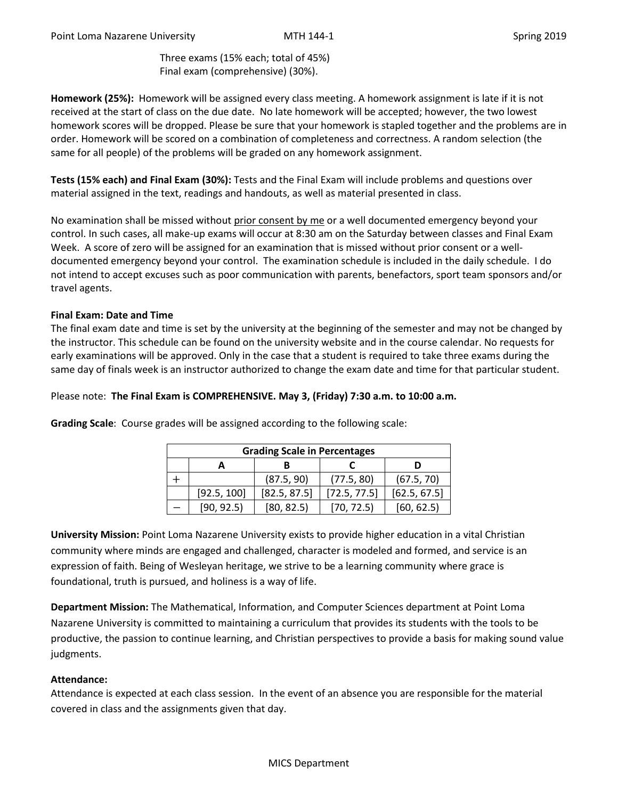Three exams (15% each; total of 45%) Final exam (comprehensive) (30%).

**Homework (25%):** Homework will be assigned every class meeting. A homework assignment is late if it is not received at the start of class on the due date. No late homework will be accepted; however, the two lowest homework scores will be dropped. Please be sure that your homework is stapled together and the problems are in order. Homework will be scored on a combination of completeness and correctness. A random selection (the same for all people) of the problems will be graded on any homework assignment.

**Tests (15% each) and Final Exam (30%):** Tests and the Final Exam will include problems and questions over material assigned in the text, readings and handouts, as well as material presented in class.

No examination shall be missed without prior consent by me or a well documented emergency beyond your control. In such cases, all make-up exams will occur at 8:30 am on the Saturday between classes and Final Exam Week. A score of zero will be assigned for an examination that is missed without prior consent or a welldocumented emergency beyond your control. The examination schedule is included in the daily schedule. I do not intend to accept excuses such as poor communication with parents, benefactors, sport team sponsors and/or travel agents.

## **Final Exam: Date and Time**

The final exam date and time is set by the university at the beginning of the semester and may not be changed by the instructor. This schedule can be found on the university website and in the course calendar. No requests for early examinations will be approved. Only in the case that a student is required to take three exams during the same day of finals week is an instructor authorized to change the exam date and time for that particular student.

## Please note: **The Final Exam is COMPREHENSIVE. May 3, (Friday) 7:30 a.m. to 10:00 a.m.**

| <b>Grading Scale in Percentages</b> |             |              |              |              |  |  |
|-------------------------------------|-------------|--------------|--------------|--------------|--|--|
|                                     |             |              |              |              |  |  |
|                                     |             | (87.5, 90)   | (77.5, 80)   | (67.5, 70)   |  |  |
|                                     | [92.5, 100] | [82.5, 87.5] | [72.5, 77.5] | [62.5, 67.5] |  |  |
|                                     | [90, 92.5]  | [80, 82.5]   | [70, 72.5]   | [60, 62.5]   |  |  |

**Grading Scale**: Course grades will be assigned according to the following scale:

**University Mission:** Point Loma Nazarene University exists to provide higher education in a vital Christian community where minds are engaged and challenged, character is modeled and formed, and service is an expression of faith. Being of Wesleyan heritage, we strive to be a learning community where grace is foundational, truth is pursued, and holiness is a way of life.

**Department Mission:** The Mathematical, Information, and Computer Sciences department at Point Loma Nazarene University is committed to maintaining a curriculum that provides its students with the tools to be productive, the passion to continue learning, and Christian perspectives to provide a basis for making sound value judgments.

### **Attendance:**

Attendance is expected at each class session. In the event of an absence you are responsible for the material covered in class and the assignments given that day.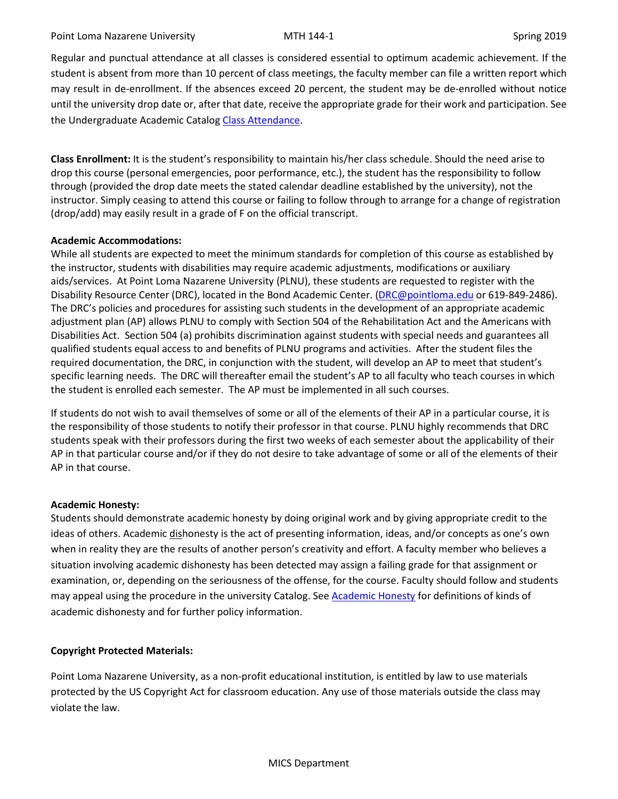Regular and punctual attendance at all classes is considered essential to optimum academic achievement. If the student is absent from more than 10 percent of class meetings, the faculty member can file a written report which may result in de-enrollment. If the absences exceed 20 percent, the student may be de-enrolled without notice until the university drop date or, after that date, receive the appropriate grade for their work and participation. See the Undergraduate Academic Catalo[g Class Attendance.](https://catalog.pointloma.edu/content.php?catoid=35&navoid=2136#Class_Attendance)

**Class Enrollment:** It is the student's responsibility to maintain his/her class schedule. Should the need arise to drop this course (personal emergencies, poor performance, etc.), the student has the responsibility to follow through (provided the drop date meets the stated calendar deadline established by the university), not the instructor. Simply ceasing to attend this course or failing to follow through to arrange for a change of registration (drop/add) may easily result in a grade of F on the official transcript.

# **Academic Accommodations:**

While all students are expected to meet the minimum standards for completion of this course as established by the instructor, students with disabilities may require academic adjustments, modifications or auxiliary aids/services. At Point Loma Nazarene University (PLNU), these students are requested to register with the Disability Resource Center (DRC), located in the Bond Academic Center. [\(DRC@pointloma.edu](mailto:DRC@pointloma.edu) or 619-849-2486). The DRC's policies and procedures for assisting such students in the development of an appropriate academic adjustment plan (AP) allows PLNU to comply with Section 504 of the Rehabilitation Act and the Americans with Disabilities Act. Section 504 (a) prohibits discrimination against students with special needs and guarantees all qualified students equal access to and benefits of PLNU programs and activities. After the student files the required documentation, the DRC, in conjunction with the student, will develop an AP to meet that student's specific learning needs. The DRC will thereafter email the student's AP to all faculty who teach courses in which the student is enrolled each semester. The AP must be implemented in all such courses.

If students do not wish to avail themselves of some or all of the elements of their AP in a particular course, it is the responsibility of those students to notify their professor in that course. PLNU highly recommends that DRC students speak with their professors during the first two weeks of each semester about the applicability of their AP in that particular course and/or if they do not desire to take advantage of some or all of the elements of their AP in that course.

# **Academic Honesty:**

Students should demonstrate academic honesty by doing original work and by giving appropriate credit to the ideas of others. Academic dishonesty is the act of presenting information, ideas, and/or concepts as one's own when in reality they are the results of another person's creativity and effort. A faculty member who believes a situation involving academic dishonesty has been detected may assign a failing grade for that assignment or examination, or, depending on the seriousness of the offense, for the course. Faculty should follow and students may appeal using the procedure in the university Catalog. See [Academic Honesty](https://catalog.pointloma.edu/content.php?catoid=35&navoid=2136#Academic_Honesty) for definitions of kinds of academic dishonesty and for further policy information.

# **Copyright Protected Materials:**

Point Loma Nazarene University, as a non-profit educational institution, is entitled by law to use materials protected by the US Copyright Act for classroom education. Any use of those materials outside the class may violate the law.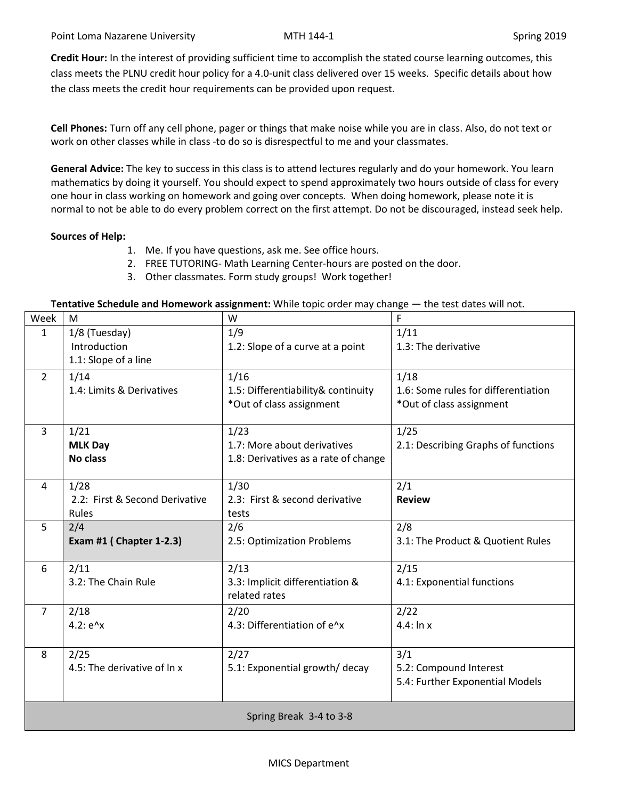**Credit Hour:** In the interest of providing sufficient time to accomplish the stated course learning outcomes, this class meets the PLNU credit hour policy for a 4.0-unit class delivered over 15 weeks. Specific details about how the class meets the credit hour requirements can be provided upon request.

**Cell Phones:** Turn off any cell phone, pager or things that make noise while you are in class. Also, do not text or work on other classes while in class -to do so is disrespectful to me and your classmates.

**General Advice:** The key to success in this class is to attend lectures regularly and do your homework. You learn mathematics by doing it yourself. You should expect to spend approximately two hours outside of class for every one hour in class working on homework and going over concepts. When doing homework, please note it is normal to not be able to do every problem correct on the first attempt. Do not be discouraged, instead seek help.

## **Sources of Help:**

- 1. Me. If you have questions, ask me. See office hours.
- 2. FREE TUTORING- Math Learning Center-hours are posted on the door.
- 3. Other classmates. Form study groups! Work together!

### **Tentative Schedule and Homework assignment:** While topic order may change — the test dates will not.

| Week                    | M                              | W                                    | F                                   |  |  |  |
|-------------------------|--------------------------------|--------------------------------------|-------------------------------------|--|--|--|
| $\mathbf{1}$            | 1/8 (Tuesday)                  | 1/9                                  | 1/11                                |  |  |  |
|                         | Introduction                   | 1.2: Slope of a curve at a point     | 1.3: The derivative                 |  |  |  |
|                         | 1.1: Slope of a line           |                                      |                                     |  |  |  |
| $\overline{2}$          | 1/14                           | 1/16                                 | 1/18                                |  |  |  |
|                         | 1.4: Limits & Derivatives      | 1.5: Differentiability& continuity   | 1.6: Some rules for differentiation |  |  |  |
|                         |                                | *Out of class assignment             | *Out of class assignment            |  |  |  |
|                         |                                |                                      |                                     |  |  |  |
| 3                       | 1/21                           | 1/23                                 | 1/25                                |  |  |  |
|                         | <b>MLK Day</b>                 | 1.7: More about derivatives          | 2.1: Describing Graphs of functions |  |  |  |
|                         | <b>No class</b>                | 1.8: Derivatives as a rate of change |                                     |  |  |  |
|                         |                                |                                      |                                     |  |  |  |
| 4                       | 1/28                           | 1/30                                 | 2/1                                 |  |  |  |
|                         | 2.2: First & Second Derivative | 2.3: First & second derivative       | <b>Review</b>                       |  |  |  |
|                         | Rules                          | tests                                |                                     |  |  |  |
| 5                       | 2/4                            | 2/6                                  | 2/8                                 |  |  |  |
|                         | Exam #1 ( Chapter 1-2.3)       | 2.5: Optimization Problems           | 3.1: The Product & Quotient Rules   |  |  |  |
|                         |                                |                                      |                                     |  |  |  |
| 6                       | 2/11                           | 2/13                                 | 2/15                                |  |  |  |
|                         | 3.2: The Chain Rule            | 3.3: Implicit differentiation &      | 4.1: Exponential functions          |  |  |  |
|                         |                                | related rates                        |                                     |  |  |  |
| $\overline{7}$          | 2/18                           | 2/20                                 | 2/22                                |  |  |  |
|                         | $4.2: e^x$                     | 4.3: Differentiation of e^x          | $4.4:$ In x                         |  |  |  |
|                         |                                |                                      |                                     |  |  |  |
| 8                       | 2/25                           | 2/27                                 | 3/1                                 |  |  |  |
|                         | 4.5: The derivative of ln x    | 5.1: Exponential growth/ decay       | 5.2: Compound Interest              |  |  |  |
|                         |                                |                                      | 5.4: Further Exponential Models     |  |  |  |
|                         |                                |                                      |                                     |  |  |  |
| Spring Break 3-4 to 3-8 |                                |                                      |                                     |  |  |  |
|                         |                                |                                      |                                     |  |  |  |